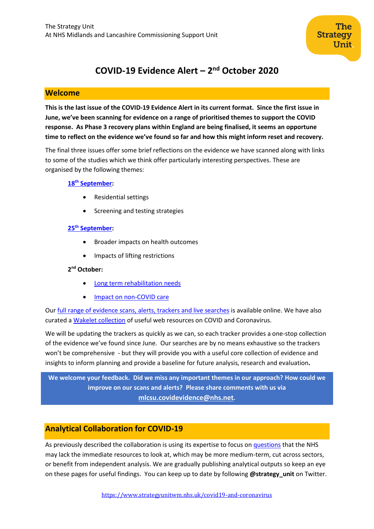# **COVID-19 Evidence Alert – 2 nd October 2020**

### **Welcome**

**This is the last issue of the COVID-19 Evidence Alert in its current format. Since the first issue in June, we've been scanning for evidence on a range of prioritised themes to support the COVID response. As Phase 3 recovery plans within England are being finalised, it seems an opportune time to reflect on the evidence we've found so far and how this might inform reset and recovery.** 

The final three issues offer some brief reflections on the evidence we have scanned along with links to some of the studies which we think offer particularly interesting perspectives. These are organised by the following themes:

#### **18th [September:](https://www.strategyunitwm.nhs.uk/sites/default/files/2020-09/SU_CovidEvidence_WeeklyAlert_18092020.pdf)**

- Residential settings
- Screening and testing strategies

#### **25th [September:](https://www.strategyunitwm.nhs.uk/sites/default/files/2020-09/SU_CovidEvidence_WeeklyAlert_25092020_2.pdf)**

- Broader impacts on health outcomes
- Impacts of lifting restrictions

#### **2 nd October:**

- [Long term rehabilitation needs](#page-1-0)
- [Impact on non-COVID](#page-2-0) care

Our [full range of evidence scans, alerts, trackers and live searches](https://www.strategyunitwm.nhs.uk/evidence-helping-you-keep-date) is available online. We have also curated [a Wakelet collection](https://wakelet.com/@Covid19Collaboration) of useful web resources on COVID and Coronavirus.

We will be updating the trackers as quickly as we can, so each tracker provides a one-stop collection of the evidence we've found since June. Our searches are by no means exhaustive so the trackers won't be comprehensive - but they will provide you with a useful core collection of evidence and insights to inform planning and provide a baseline for future analysis, research and evaluation**.** 

**We welcome your feedback. Did we miss any important themes in our approach? How could we improve on our scans and alerts? Please share comments with us via [mlcsu.covidevidence@nhs.net](mailto:mlcsu.covidevidence@nhs.net).**

# **Analytical Collaboration for COVID-19**

As previously described the collaboration is using its expertise to focus on [questions](https://www.strategyunitwm.nhs.uk/sites/default/files/2020-05/Covid%20Collaboration%20Summaries_0.pdf) that the NHS may lack the immediate resources to look at, which may be more medium-term, cut across sectors, or benefit from independent analysis. We are gradually publishing analytical outputs so keep an eye on these pages for useful findings. You can keep up to date by following **@strategy\_unit** on Twitter.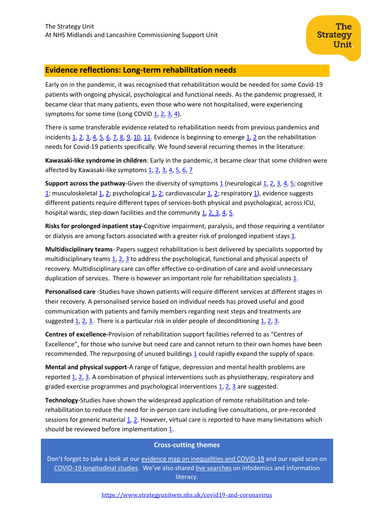### <span id="page-1-0"></span>**Evidence reflections: Long-term rehabilitation needs**

Early on in the pandemic, it was recognised that rehabilitation would be needed for some Covid-19 patients with ongoing physical, psychological and functional needs. As the pandemic progressed, it became clear that many patients, even those who were not hospitalised, were experiencing symptoms for some time (Long COVID [1,](https://www.gov.uk/government/publications/covid-19-long-term-health-effects/covid-19-long-term-health-effects) [2,](https://www.bmj.com/content/370/bmj.m3026) [3,](https://dig.abclocal.go.com/wls/documents/2020/072720-wls-covid-symptom-study-doc.pdf) [4\)](https://jamanetwork.com/journals/jama/fullarticle/2768351).

There is some transferable evidence related to rehabilitation needs from previous pandemics and incidents  $1, 2, 3, 4, 5, 6, 7, 8, 9, 10, 11$  $1, 2, 3, 4, 5, 6, 7, 8, 9, 10, 11$  $1, 2, 3, 4, 5, 6, 7, 8, 9, 10, 11$  $1, 2, 3, 4, 5, 6, 7, 8, 9, 10, 11$  $1, 2, 3, 4, 5, 6, 7, 8, 9, 10, 11$  $1, 2, 3, 4, 5, 6, 7, 8, 9, 10, 11$  $1, 2, 3, 4, 5, 6, 7, 8, 9, 10, 11$  $1, 2, 3, 4, 5, 6, 7, 8, 9, 10, 11$  $1, 2, 3, 4, 5, 6, 7, 8, 9, 10, 11$  $1, 2, 3, 4, 5, 6, 7, 8, 9, 10, 11$  $1, 2, 3, 4, 5, 6, 7, 8, 9, 10, 11$ . Evidence is beginning to emerge  $1, 2$  $1, 2$  on the rehabilitation needs for Covid-19 patients specifically. We found several recurring themes in the literature:

**Kawasaki-like syndrome in children**: Early in the pandemic, it became clear that some children were affected by Kawasaki-like symptoms [1,](https://www.thelancet.com/journals/lancet/article/PIIS0140-6736(20)31129-6/fulltext) [2,](https://www.bmj.com/content/369/bmj.m2094) [3,](https://www.ncbi.nlm.nih.gov/pmc/articles/PMC7204765/) [4,](https://www.bmj.com/content/369/bmj.m2094) [5,](https://academic.oup.com/ehjcimaging/advance-article/doi/10.1093/ehjci/jeaa212/5882094#206206756) [6,](https://academic.oup.com/cid/article/doi/10.1093/cid/ciaa1042/5876334) [7](https://www.thelancet.com/pdfs/journals/lanchi/PIIS2352-4642(20)30215-7.pdf)

**Support across the pathway**-Given the diversity of symptoms [1](https://onlinelibrary.wiley.com/doi/10.1002/jmv.26368) (neurological [1,](https://reader.elsevier.com/reader/sd/pii/S030384672030264X?token=20B180AF89994FAAFA91DC3BE800EB87B12E7D32783FFFF769351330FC4E432EED4B5A0ACCD03E41345A02BBA45A0506) [2,](https://www.ajemjournal.com/article/S0735-6757(20)30364-8/pdf) [3,](https://www.thelancet.com/journals/lanpsy/article/PIIS2215-0366(20)30287-X/fulltext) [4,](https://www.mdpi.com/2077-0383/9/8/2624/htm) [5;](https://academic.oup.com/brain/article/doi/10.1093/brain/awaa240/5868408#.XwV12blxBHw.email) cognitive [1;](https://www.medrxiv.org/content/10.1101/2020.06.07.20115188v1.full.pdf+html) musculoskeleta[l 1,](https://journals.lww.com/jbjsjournal/Abstract/9000/Musculoskeletal_Consequences_of_COVID_19.99707.aspx) [2;](https://www.heartrhythmjournal.com/article/S1547-5271(20)30625-1/pdf) psychological [1,](https://www.thelancet.com/journals/lanpsy/article/PIIS2215-0366(20)30203-0/fulltext#seccestitle10) 2; cardiovascular [1,](https://www.sciencedirect.com/science/article/pii/S0002870320301897) 2; respiratory [1\)](https://journals.sagepub.com/doi/full/10.1177/0300060520948382), evidence suggests different patients require different types of services-both physical and psychological, across ICU, hospital wards, step down facilities and the community [1,](https://pubmed.ncbi.nlm.nih.gov/32282359/) [2,](https://europepmc.org/article/med/32452879) [3,](https://journals.sagepub.com/doi/full/10.1177/0300060520948382) [4,](https://www.hindawi.com/journals/rerp/2020/3642143/) [5.](https://www.medicaljournals.se/jrm/content/html/10.2340/16501977-2727)

**Risks for prolonged inpatient stay-**Cognitive impairment, paralysis, and those requiring a ventilator or dialysis are among factors associated with a greater risk of prolonged inpatient stays [1.](https://pubmed.ncbi.nlm.nih.gov/32299750/)

**Multidisciplinary teams**- Papers suggest rehabilitation is best delivered by specialists supported by multidisciplinary teams  $1, 2, 3$  $1, 2, 3$  $1, 2, 3$  to address the psychological, functional and physical aspects of recovery. Multidisciplinary care can offer effective co-ordination of care and avoid unnecessary duplication of services. There is however an important role for rehabilitation specialist[s 1.](https://pubmed.ncbi.nlm.nih.gov/32282359/)

**Personalised care** -Studies have shown patients will require different services at different stages in their recovery. A personalised service based on individual needs has proved useful and good communication with patients and family members regarding next steps and treatments are suggested  $\underline{1}$ ,  $\underline{2}$ ,  $\underline{3}$ . There is a particular risk in older people of deconditioning  $\underline{1}$ ,  $\underline{2}$ ,  $\underline{3}$ .

**Centres of excellence-**Provision of rehabilitation support facilities referred to as "Centres of Excellence", for those who survive but need care and cannot return to their own homes have been recommended. The repurposing of unused buildings [1](https://pubmed.ncbi.nlm.nih.gov/32299750/) could rapidly expand the supply of space.

**Mental and physical support**-A range of fatigue, depression and mental health problems are reported [1,](https://www.medrxiv.org/content/10.1101/2020.05.07.20094151v1) [2,](https://www.sciencedirect.com/science/article/pii/S0889159120304839?via%3Dihub) [3.](https://www.sciencedirect.com/science/article/pii/S0889159120316068) A combination of physical interventions such as physiotherapy, respiratory and graded exercise programmes and psychological interventions  $\frac{1}{2}$ ,  $\frac{2}{3}$  are suggested.

**Technology**-Studies have shown the widespread application of remote rehabilitation and telerehabilitation to reduce the need for in-person care including live consultations, or pre-recorded sessions for generic material [1,](https://pubmed.ncbi.nlm.nih.gov/32329589/) [2.](https://csucloudservices.sharepoint.com/sites/StrategyUnit384-Covid19evidence/Shared%20Documents/Covid19%20evidence/Flattening%20the%20disability%20curve:%20Rehabilitation%20and%20recovery%20after%20COVID-19%20infection) However, virtual care is reported to have many limitations which should be reviewed before implementation [1.](https://pubmed.ncbi.nlm.nih.gov/32282359/)

#### **Cross-cutting themes**

Don't forget to take a look at our [evidence map on inequalities and COVID-19](https://www.strategyunitwm.nhs.uk/sites/default/files/2020-08/20200821%20COVID-19%20and%20inequalities%20evidence%20map.xlsx) and our rapid scan on [COVID-19 longitudinal studies.](https://www.strategyunitwm.nhs.uk/sites/default/files/2020-08/20200821%20Evidence%20rapid%20scan%207%20-%20Prospective%20population%20studies.pdf) We've also share[d live searches](https://www.strategyunitwm.nhs.uk/evidence-helping-you-keep-date) on infodemics and information literacy.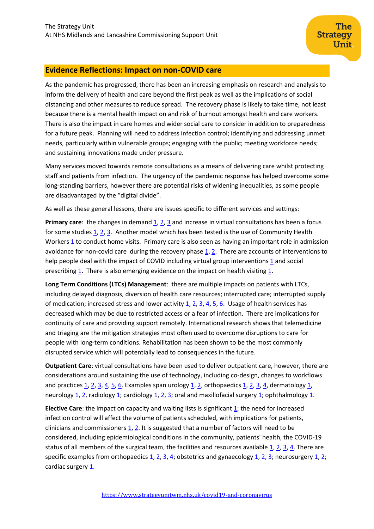## <span id="page-2-0"></span>**Evidence Reflections: Impact on non-COVID care**

As the pandemic has progressed, there has been an increasing emphasis on research and analysis to inform the delivery of health and care beyond the first peak as well as the implications of social distancing and other measures to reduce spread. The recovery phase is likely to take time, not least because there is a mental health impact on and risk of burnout amongst health and care workers. There is also the impact in care homes and wider social care to consider in addition to preparedness for a future peak. Planning will need to address infection control; identifying and addressing unmet needs, particularly within vulnerable groups; engaging with the public; meeting workforce needs; and sustaining innovations made under pressure.

Many services moved towards remote consultations as a means of delivering care whilst protecting staff and patients from infection. The urgency of the pandemic response has helped overcome some long-standing barriers, however there are potential risks of widening inequalities, as some people are disadvantaged by the "digital divide".

As well as these general lessons, there are issues specific to different services and settings:

**Primary care:** the changes in demand [1,](https://arc-w.nihr.ac.uk/research-and-implementation/covid-19-response/reports/investigating-changing-demands-on-primary-care-during-covid-19-summary-report-3/) [2,](https://arc-w.nihr.ac.uk/research-and-implementation/covid-19-response/reports/rapid-covid-19-intelligence-to-improve-primary-care-response-summary-report-1/) [3](https://arc-w.nihr.ac.uk/research-and-implementation/covid-19-response/reports/rapid-covid-19-intelligence-to-improve-primary-care-response-summary-report-2/) and increase in virtual consultations has been a focus for some studie[s 1,](https://www.health.org.uk/news-and-comment/charts-and-infographics/how-might-covid-19-have-affected-peoples-ability-to-see-GP) [2,](https://www.jmir.org/2020/6/e19264/) [3.](https://academic.oup.com/bmb/advance-article/doi/10.1093/bmb/ldaa025/5895942) Another model which has been tested is the use of Community Health Workers  $1$  to conduct home visits. Primary care is also seen as having an important role in admission avoidance for non-covid care during the recovery phase [1,](https://www.cebm.net/covid-19/what-conditions-could-we-prioritise-in-the-primary-care-setting-to-reduce-non-covid-related-admissions-to-hospital/) [2.](https://www.rcpjournals.org/content/futurehosp/early/2020/08/28/fhj.2020-0082?papetoc=) There are accounts of interventions to help people deal with the impact of COVID including virtual group interventions [1](http://scholar.google.co.uk/scholar_url?url=https://psyarxiv.com/483zv/download/%3Fformat%3Dpdf&hl=en&sa=X&d=3005098893197722098&scisig=AAGBfm0eK0VrwlFK0VJmBhrmGTFbO-gVuA&nossl=1&oi=scholaralrt&html=) and social prescribing [1.](https://evidence.nihr.ac.uk/alert/social-prescribing-could-empower-patients-to-address-non-medical-problems-in-their-lives/) There is also emerging evidence on the impact on health visitin[g 1.](https://discovery.ucl.ac.uk/id/eprint/10106430/1/Conti_Dow_The%20impacts%20of%20COVID-19%20on%20Health%20Visiting%20in%20the%20UK-POSTED.pdf)

**Long Term Conditions (LTCs) Management**: there are multiple impacts on patients with LTCs, including delayed diagnosis, diversion of health care resources; interrupted care; interrupted supply of medication; increased stress and lower activity  $1, 2, 3, 4, 5, 6$  $1, 2, 3, 4, 5, 6$  $1, 2, 3, 4, 5, 6$  $1, 2, 3, 4, 5, 6$  $1, 2, 3, 4, 5, 6$  $1, 2, 3, 4, 5, 6$ . Usage of health services has decreased which may be due to restricted access or a fear of infection. There are implications for continuity of care and providing support remotely. International research shows that telemedicine and triaging are the mitigation strategies most often used to overcome disruptions to care for people with long-term conditions. Rehabilitation has been shown to be the most commonly disrupted service which will potentially lead to consequences in the future.

**Outpatient Care**: virtual consultations have been used to deliver outpatient care, however, there are considerations around sustaining the use of technology, including co-design, changes to workflows and practices  $\underline{1}$ ,  $\underline{2}$ ,  $\underline{3}$ ,  $\underline{4}$ ,  $\underline{5}$ ,  $\underline{6}$ . Examples span urology  $\underline{1}$ ,  $\underline{2}$ , orthopaedics  $\underline{1}$ ,  $\underline{2}$ ,  $\underline{3}$ ,  $\underline{4}$ , dermatology  $\underline{1}$ , neurology [1,](https://www.rcpjournals.org/content/clinmedicine/early/2020/04/30/clinmed.2020-0159.full.pdf) [2,](https://www.ejmanager.com/mnstemps/33/33-1589041766.pdf?t=1592913879) radiolog[y 1;](https://www.rcpjournals.org/content/futurehosp/7/2/174/tab-article-info) cardiology [1,](https://heart.bmj.com/content/early/2020/08/30/heartjnl-2020-317600) [2,](https://environhealthprevmed.biomedcentral.com/articles/10.1186/s12199-020-00885-2) [3;](https://www.tandfonline.com/doi/pdf/10.1080/00015385.2020.1787636) oral and maxillofacial surgery [1;](https://www.bjoms.com/article/S0266-4356(20)30382-X/fulltext#secsect0005) ophthalmolog[y 1.](https://informatics.bmj.com/content/bmjhci/27/3/e100179.full.pdf)

**Elective Care:** the impact on capacity and waiting lists is significant [1;](https://www.imperial.ac.uk/mrc-global-infectious-disease-analysis/covid-19/report-27-hospital-capacity/) the need for increased infection control will affect the volume of patients scheduled, with implications for patients, clinicians and commissioners [1,](https://www.health.org.uk/publications/long-reads/returning-nhs-waiting-times-to-18-weeks) [2.](https://bjssjournals.onlinelibrary.wiley.com/doi/abs/10.1002/bjs.11746) It is suggested that a number of factors will need to be considered, including epidemiological conditions in the community, patients' health, the COVID‐19 status of all members of the surgical team, the facilities and resources available  $\frac{1}{2}$ ,  $\frac{2}{3}$ ,  $\frac{4}{4}$ . There are specific examples from orthopaedics  $1, 2, 3, 4$  $1, 2, 3, 4$  $1, 2, 3, 4$  $1, 2, 3, 4$ ; obstetrics and gynaecology  $1, 2, 3$ ; neurosurgery  $1, 2$ ; cardiac surgery [1.](https://onlinelibrary.wiley.com/doi/10.1111/jocs.14631)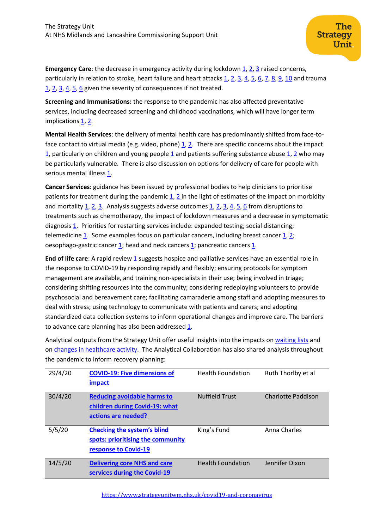**Emergency Care**: the decrease in emergency activity during lockdown [1,](https://link.springer.com/article/10.1007%2Fs00268-020-05760-3) [2,](https://onlinelibrary.wiley.com/doi/full/10.1111/imj.14983) [3](https://www.imperial.ac.uk/mrc-global-infectious-disease-analysis/covid-19/report-29-emergency-attendance/) raised concerns, particularly in relation to stroke, heart failure and heart attacks [1,](https://pubmed.ncbi.nlm.nih.gov/32416787/) [2,](https://onlinelibrary.wiley.com/doi/abs/10.1002/ejhf.1925) [3,](https://onlinelibrary.wiley.com/doi/abs/10.1111/ene.14375) [4,](https://academic.oup.com/ehjqcco/advance-article/doi/10.1093/ehjqcco/qcaa046/5848410) [5,](https://www.sciencedirect.com/science/article/pii/S0002870320301307) [6,](https://academic.oup.com/eurheartj/article/doi/10.1093/eurheartj/ehaa508/5860258) [7,](https://journals.sagepub.com/doi/full/10.1177/2048872620923639?url_ver=Z39.88-2003&rfr_id=ori:rid:crossref.org&rfr_dat=cr_pub%20%200pubmed) [8,](https://openheart.bmj.com/content/7/2/e001359) [9,](https://www.strokejournal.org/article/S1052-3057(20)30647-9/fulltext) [10](https://www.oxfordahsn.org/wp-content/uploads/2020/07/Restoration-and-recovery-of-stroke-services-during-the-COVID-19-pandemic-July-2020-1.pdf) and trauma [1,](https://www.ncbi.nlm.nih.gov/research/coronavirus/publication/32852851) [2,](https://www.tandfonline.com/doi/pdf/10.1080/17453674.2020.1807092) [3,](https://online.boneandjoint.org.uk/doi/full/10.1302/2633-1462.19.BJO-2020-0108.R1) [4,](https://journals.sagepub.com/doi/pdf/10.1177/1750458920934406) [5,](https://www.sciencedirect.com/science/article/pii/S0976566220302964) [6](https://www.tandfonline.com/doi/full/10.1080/17453674.2020.1783621) given the severity of consequences if not treated.

**Screening and Immunisations:** the response to the pandemic has also affected preventative services, including decreased screening and childhood vaccinations, which will have longer term implications [1,](https://www.cebm.net/covid-19/rapid-review-diabetic-retinopathy-screening-during-the-covid-19-pandemic/) [2.](https://www.eurosurveillance.org/content/10.2807/1560-7917.ES.2020.25.19.2000848)

**Mental Health Services**: the delivery of mental health care has predominantly shifted from face-toface contact to virtual media (e.g. video, phone)  $1, 2$  $1, 2$ . There are specific concerns about the impact [1,](https://harmreductionjournal.biomedcentral.com/articles/10.1186/s12954-020-00370-7) particularly on children and young people [1](https://capmh.biomedcentral.com/articles/10.1186/s13034-020-00329-3#Sec14) and patients suffering substance abuse  $\frac{1}{2}$  $\frac{1}{2}$  $\frac{1}{2}$ ,  $\frac{2}{2}$  who may be particularly vulnerable. There is also discussion on options for delivery of care for people with serious mental illnes[s 1.](https://link.springer.com/article/10.1007/s10597-020-00662-z)

**Cancer Services**: guidance has been issued by professional bodies to help clinicians to prioritise patients for treatment during the pandemic [1,](https://www.nature.com/articles/s41571-020-0362-6) [2](https://link.springer.com/article/10.1007/s11912-020-00934-7) in the light of estimates of the impact on morbidity and mortality  $1, 2, 3$  $1, 2, 3$  $1, 2, 3$ . Analysis suggests adverse outcomes  $1, 2, 3, 4, 5, 6$  $1, 2, 3, 4, 5, 6$  $1, 2, 3, 4, 5, 6$  $1, 2, 3, 4, 5, 6$  $1, 2, 3, 4, 5, 6$  from disruptions to treatments such as chemotherapy, the impact of lockdown measures and a decrease in symptomatic diagnosis [1.](https://www.cebm.net/covid-19/cancer-and-covid-19-between-a-rock-and-a-hard-place/) Priorities for restarting services include: expanded testing; social distancing; telemedicin[e 1.](https://www.sciencedirect.com/science/article/pii/S2405803320301357) Some examples focus on particular cancers, including breast cancer  $1, 2$ ; oesophago-gastric cancer [1;](https://academic.oup.com/dote/advance-article/doi/10.1093/dote/doaa091/5894848) head and neck cancer[s 1;](https://www.cambridge.org/core/services/aop-cambridge-core/content/view/14253BAB4704F405AC6A53F4F1FEB67B/S0022215120001735a.pdf/impact_of_coronavirus_disease_2019_on_head_and_neck_cancer_services_a_uk_tertiary_centre_study.pdf) pancreatic cancer[s 1.](https://www.nature.com/articles/s41416-020-0980-x)

**End of life care**: A rapid revie[w 1](https://www.jpsmjournal.com/article/S0885-3924(20)30182-2/pdf) suggests hospice and palliative services have an essential role in the response to COVID-19 by responding rapidly and flexibly; ensuring protocols for symptom management are available, and training non-specialists in their use; being involved in triage; considering shifting resources into the community; considering redeploying volunteers to provide psychosocial and bereavement care; facilitating camaraderie among staff and adopting measures to deal with stress; using technology to communicate with patients and carers; and adopting standardized data collection systems to inform operational changes and improve care. The barriers to advance care planning has also been addressed [1.](https://www.cebm.net/covid-19/advance-care-planning-in-the-community-in-the-context-of-covid-19/)

Analytical outputs from the Strategy Unit offer useful insights into the impacts on [waiting](https://www.strategyunitwm.nhs.uk/collaboration-outputs-and-useful-links#accordionCollapse-id__4263) lists and on [changes in healthcare activity.](https://www.strategyunitwm.nhs.uk/collaboration-outputs-and-useful-links#accordionCollapse-id__2859) The Analytical Collaboration has also shared analysis throughout the pandemic to inform recovery planning:

| 29/4/20 | <b>COVID-19: Five dimensions of</b><br>impact                                                   | <b>Health Foundation</b> | Ruth Thorlby et al |
|---------|-------------------------------------------------------------------------------------------------|--------------------------|--------------------|
| 30/4/20 | <b>Reducing avoidable harms to</b><br>children during Covid-19: what<br>actions are needed?     | <b>Nuffield Trust</b>    | Charlotte Paddison |
| 5/5/20  | <b>Checking the system's blind</b><br>spots: prioritising the community<br>response to Covid-19 | King's Fund              | Anna Charles       |
| 14/5/20 | <b>Delivering core NHS and care</b><br>services during the Covid-19                             | <b>Health Foundation</b> | Jennifer Dixon     |

<https://www.strategyunitwm.nhs.uk/covid19-and-coronavirus>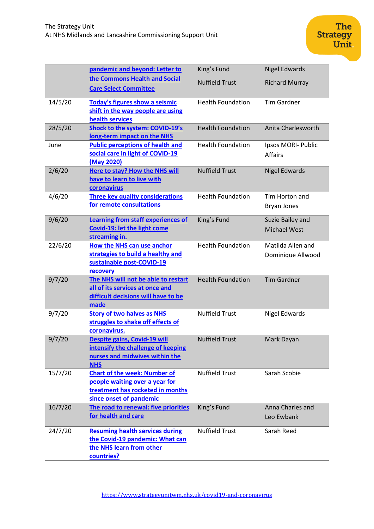|         | pandemic and beyond: Letter to                                                                                                       | King's Fund              | <b>Nigel Edwards</b>                    |
|---------|--------------------------------------------------------------------------------------------------------------------------------------|--------------------------|-----------------------------------------|
|         | the Commons Health and Social<br><b>Care Select Committee</b>                                                                        | <b>Nuffield Trust</b>    | <b>Richard Murray</b>                   |
| 14/5/20 | Today's figures show a seismic<br>shift in the way people are using<br>health services                                               | <b>Health Foundation</b> | <b>Tim Gardner</b>                      |
| 28/5/20 | Shock to the system: COVID-19's<br>long-term impact on the NHS                                                                       | <b>Health Foundation</b> | Anita Charlesworth                      |
| June    | <b>Public perceptions of health and</b><br>social care in light of COVID-19<br>(May 2020)                                            | <b>Health Foundation</b> | Ipsos MORI- Public<br><b>Affairs</b>    |
| 2/6/20  | <b>Here to stay? How the NHS will</b><br>have to learn to live with<br>coronavirus                                                   | <b>Nuffield Trust</b>    | <b>Nigel Edwards</b>                    |
| 4/6/20  | <b>Three key quality considerations</b><br>for remote consultations                                                                  | <b>Health Foundation</b> | Tim Horton and<br><b>Bryan Jones</b>    |
| 9/6/20  | Learning from staff experiences of<br><b>Covid-19: let the light come</b><br>streaming in.                                           | King's Fund              | Suzie Bailey and<br><b>Michael West</b> |
| 22/6/20 | How the NHS can use anchor<br>strategies to build a healthy and<br>sustainable post-COVID-19<br>recovery                             | <b>Health Foundation</b> | Matilda Allen and<br>Dominique Allwood  |
| 9/7/20  | The NHS will not be able to restart<br>all of its services at once and<br>difficult decisions will have to be<br>made                | <b>Health Foundation</b> | <b>Tim Gardner</b>                      |
| 9/7/20  | <b>Story of two halves as NHS</b><br>struggles to shake off effects of<br>coronavirus.                                               | <b>Nuffield Trust</b>    | <b>Nigel Edwards</b>                    |
| 9/7/20  | Despite gains, Covid-19 will<br>intensify the challenge of keeping<br>nurses and midwives within the<br><b>NHS</b>                   | <b>Nuffield Trust</b>    | Mark Dayan                              |
| 15/7/20 | <b>Chart of the week: Number of</b><br>people waiting over a year for<br>treatment has rocketed in months<br>since onset of pandemic | <b>Nuffield Trust</b>    | Sarah Scobie                            |
| 16/7/20 | The road to renewal: five priorities<br>for health and care                                                                          | King's Fund              | Anna Charles and<br>Leo Ewbank          |
| 24/7/20 | <b>Resuming health services during</b><br>the Covid-19 pandemic: What can<br>the NHS learn from other<br>countries?                  | <b>Nuffield Trust</b>    | Sarah Reed                              |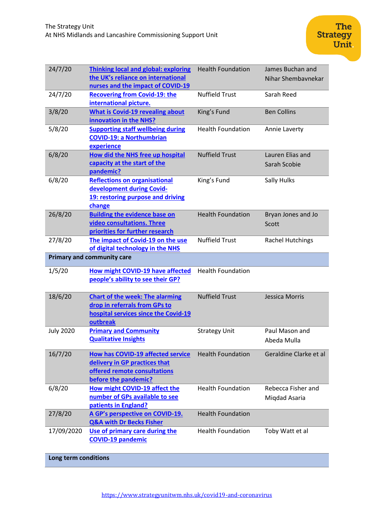| 24/7/20          | <b>Thinking local and global: exploring</b><br>the UK's reliance on international<br>nurses and the impact of COVID-19            | <b>Health Foundation</b>                                  | James Buchan and<br>Nihar Shembavnekar |
|------------------|-----------------------------------------------------------------------------------------------------------------------------------|-----------------------------------------------------------|----------------------------------------|
| 24/7/20          | <b>Recovering from Covid-19: the</b><br>international picture.                                                                    | <b>Nuffield Trust</b>                                     | Sarah Reed                             |
| 3/8/20           | <b>What is Covid-19 revealing about</b><br>innovation in the NHS?                                                                 | King's Fund                                               | <b>Ben Collins</b>                     |
| 5/8/20           | <b>Supporting staff wellbeing during</b><br><b>COVID-19: a Northumbrian</b><br>experience                                         | <b>Health Foundation</b><br>Annie Laverty                 |                                        |
| 6/8/20           | How did the NHS free up hospital<br>capacity at the start of the<br>pandemic?                                                     | <b>Nuffield Trust</b><br>Lauren Elias and<br>Sarah Scobie |                                        |
| 6/8/20           | <b>Reflections on organisational</b><br>development during Covid-<br>19: restoring purpose and driving<br>change                  | King's Fund                                               | <b>Sally Hulks</b>                     |
| 26/8/20          | <b>Building the evidence base on</b><br>video consultations. Three<br>priorities for further research                             | <b>Health Foundation</b>                                  | Bryan Jones and Jo<br>Scott            |
| 27/8/20          | The impact of Covid-19 on the use<br>of digital technology in the NHS                                                             | <b>Nuffield Trust</b>                                     | <b>Rachel Hutchings</b>                |
|                  | <b>Primary and community care</b>                                                                                                 |                                                           |                                        |
| 1/5/20           | <b>How might COVID-19 have affected</b><br>people's ability to see their GP?                                                      | <b>Health Foundation</b>                                  |                                        |
| 18/6/20          | <b>Chart of the week: The alarming</b><br>drop in referrals from GPs to<br>hospital services since the Covid-19<br>outbreak       | <b>Nuffield Trust</b>                                     | Jessica Morris                         |
| <b>July 2020</b> | <b>Primary and Community</b><br><b>Qualitative Insights</b>                                                                       | <b>Strategy Unit</b>                                      | Paul Mason and<br>Abeda Mulla          |
| 16/7/20          | <b>How has COVID-19 affected service</b><br>delivery in GP practices that<br>offered remote consultations<br>before the pandemic? | <b>Health Foundation</b>                                  | Geraldine Clarke et al                 |
| 6/8/20           | How might COVID-19 affect the<br>number of GPs available to see<br>patients in England?                                           | <b>Health Foundation</b>                                  | Rebecca Fisher and<br>Migdad Asaria    |
| 27/8/20          | A GP's perspective on COVID-19.<br><b>Q&amp;A with Dr Becks Fisher</b>                                                            | <b>Health Foundation</b>                                  |                                        |
| 17/09/2020       | Use of primary care during the<br><b>COVID-19 pandemic</b>                                                                        | <b>Health Foundation</b>                                  | Toby Watt et al                        |

# **Long term conditions**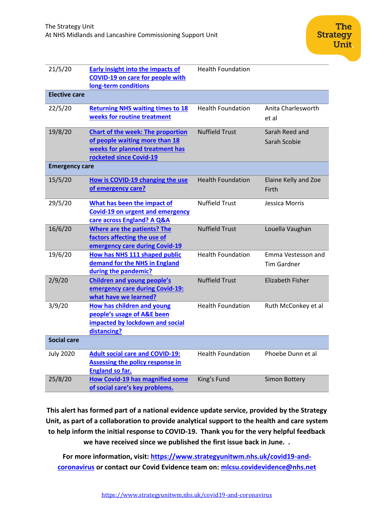| 21/5/20               | <b>Early insight into the impacts of</b><br><b>COVID-19 on care for people with</b><br>long-term conditions                              | <b>Health Foundation</b> |                                          |
|-----------------------|------------------------------------------------------------------------------------------------------------------------------------------|--------------------------|------------------------------------------|
| <b>Elective care</b>  |                                                                                                                                          |                          |                                          |
| 22/5/20               | <b>Returning NHS waiting times to 18</b><br>weeks for routine treatment                                                                  | <b>Health Foundation</b> | Anita Charlesworth<br>et al              |
| 19/8/20               | <b>Chart of the week: The proportion</b><br>of people waiting more than 18<br>weeks for planned treatment has<br>rocketed since Covid-19 | <b>Nuffield Trust</b>    | Sarah Reed and<br>Sarah Scobie           |
| <b>Emergency care</b> |                                                                                                                                          |                          |                                          |
| 15/5/20               | How is COVID-19 changing the use<br>of emergency care?                                                                                   | <b>Health Foundation</b> | Elaine Kelly and Zoe<br>Firth            |
| 29/5/20               | What has been the impact of<br><b>Covid-19 on urgent and emergency</b><br>care across England? A Q&A                                     | <b>Nuffield Trust</b>    | Jessica Morris                           |
| 16/6/20               | <b>Where are the patients? The</b><br>factors affecting the use of<br>emergency care during Covid-19                                     | <b>Nuffield Trust</b>    | Louella Vaughan                          |
| 19/6/20               | How has NHS 111 shaped public<br>demand for the NHS in England<br>during the pandemic?                                                   | <b>Health Foundation</b> | Emma Vestesson and<br><b>Tim Gardner</b> |
| 2/9/20                | <b>Children and young people's</b><br>emergency care during Covid-19:<br>what have we learned?                                           | <b>Nuffield Trust</b>    | <b>Elizabeth Fisher</b>                  |
| 3/9/20                | <b>How has children and young</b><br>people's usage of A&E been<br>impacted by lockdown and social<br>distancing?                        | <b>Health Foundation</b> | Ruth McConkey et al                      |
| <b>Social care</b>    |                                                                                                                                          |                          |                                          |
| <b>July 2020</b>      | <b>Adult social care and COVID-19:</b><br><b>Assessing the policy response in</b><br><b>England so far.</b>                              | <b>Health Foundation</b> | Phoebe Dunn et al                        |
| 25/8/20               | <b>How Covid-19 has magnified some</b><br>of social care's key problems.                                                                 | King's Fund              | <b>Simon Bottery</b>                     |

**This alert has formed part of a national evidence update service, provided by the Strategy Unit, as part of a collaboration to provide analytical support to the health and care system to help inform the initial response to COVID-19. Thank you for the very helpful feedback we have received since we published the first issue back in June. .**

**For more information, visit: [https://www.strategyunitwm.nhs.uk/covid19-and](https://www.strategyunitwm.nhs.uk/covid19-and-coronavirus)[coronavirus](https://www.strategyunitwm.nhs.uk/covid19-and-coronavirus) or contact our Covid Evidence team on: [mlcsu.covidevidence@nhs.net](mailto:mlcsu.covidevidence@nhs.net)**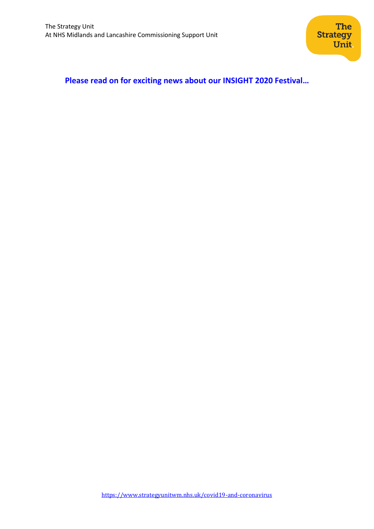

**Please read on for exciting news about our INSIGHT 2020 Festival…**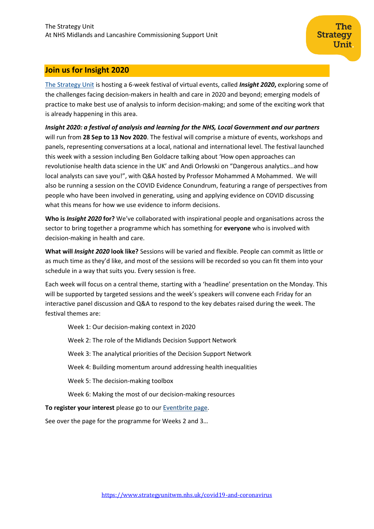## **Join us for Insight 2020**

[The Strategy Unit](https://www.strategyunitwm.nhs.uk/) is hosting a 6-week festival of virtual events, called *Insight 2020***,** exploring some of the challenges facing decision-makers in health and care in 2020 and beyond; emerging models of practice to make best use of analysis to inform decision-making; and some of the exciting work that is already happening in this area.

*Insight 2020: a festival of analysis and learning for the NHS, Local Government and our partners*  will run from **28 Sep to 13 Nov 2020**. The festival will comprise a mixture of events, workshops and panels, representing conversations at a local, national and international level. The festival launched this week with a session including Ben Goldacre talking about 'How open approaches can revolutionise health data science in the UK' and Andi Orlowski on "Dangerous analytics…and how local analysts can save you!", with Q&A hosted by Professor Mohammed A Mohammed. We will also be running a session on the COVID Evidence Conundrum, featuring a range of perspectives from people who have been involved in generating, using and applying evidence on COVID discussing what this means for how we use evidence to inform decisions.

**Who is** *Insight 2020* **for?** We've collaborated with inspirational people and organisations across the sector to bring together a programme which has something for **everyone** who is involved with decision-making in health and care.

**What will** *Insight 2020* **look like?** Sessions will be varied and flexible. People can commit as little or as much time as they'd like, and most of the sessions will be recorded so you can fit them into your schedule in a way that suits you. Every session is free.

Each week will focus on a central theme, starting with a 'headline' presentation on the Monday. This will be supported by targeted sessions and the week's speakers will convene each Friday for an interactive panel discussion and Q&A to respond to the key debates raised during the week. The festival themes are:

Week 1: Our decision-making context in 2020 Week 2: The role of the Midlands Decision Support Network Week 3: The analytical priorities of the Decision Support Network Week 4: Building momentum around addressing health inequalities Week 5: The decision-making toolbox Week 6: Making the most of our decision-making resources

**To register your interest** please go to our [Eventbrite page.](https://www.eventbrite.co.uk/e/insight-2020-a-festival-of-analysis-and-learning-in-health-and-care-tickets-118012477497)

See over the page for the programme for Weeks 2 and 3…